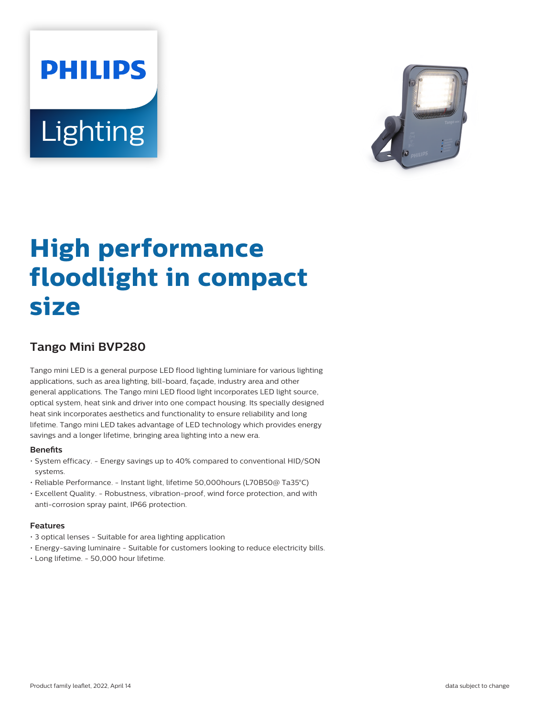# **PHILIPS Lighting**



# **High performance floodlight in compact size**

## **Tango Mini BVP280**

Tango mini LED is a general purpose LED flood lighting luminiare for various lighting applications, such as area lighting, bill-board, façade, industry area and other general applications. The Tango mini LED flood light incorporates LED light source, optical system, heat sink and driver into one compact housing. Its specially designed heat sink incorporates aesthetics and functionality to ensure reliability and long lifetime. Tango mini LED takes advantage of LED technology which provides energy savings and a longer lifetime, bringing area lighting into a new era.

#### **Benefits**

- System efficacy. Energy savings up to 40% compared to conventional HID/SON systems.
- Reliable Performance. Instant light, lifetime 50,000hours (L70B50@ Ta35°C)
- Excellent Quality. Robustness, vibration-proof, wind force protection, and with anti-corrosion spray paint, IP66 protection.

#### **Features**

- 3 optical lenses Suitable for area lighting application
- Energy-saving luminaire Suitable for customers looking to reduce electricity bills.
- Long lifetime. 50,000 hour lifetime.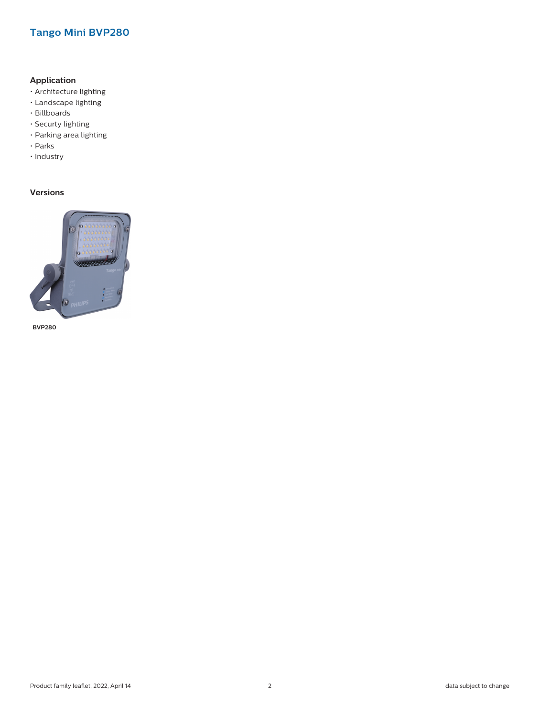### **Tango Mini BVP280**

#### **Application**

- Architecture lighting
- Landscape lighting
- Billboards
- Securty lighting
- Parking area lighting
- Parks
- Industry

#### **Versions**



**BVP280**